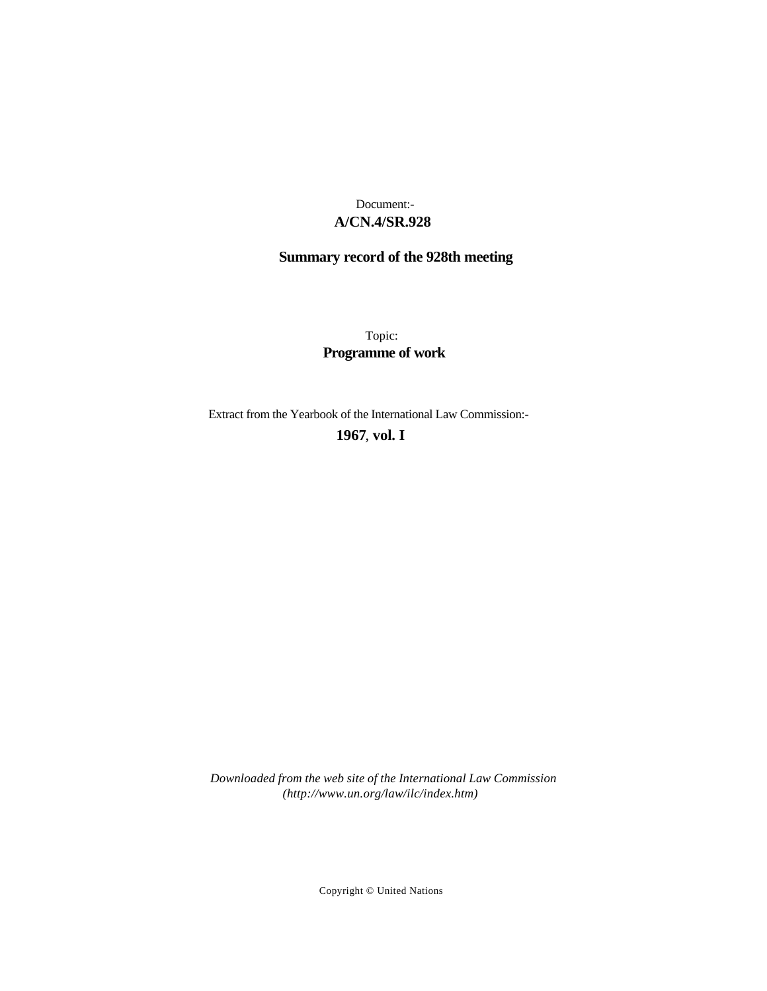### **A/CN.4/SR.928** Document:-

# **Summary record of the 928th meeting**

Topic: **Programme of work**

Extract from the Yearbook of the International Law Commission:-

**1967** , **vol. I**

*Downloaded from the web site of the International Law Commission (http://www.un.org/law/ilc/index.htm)*

Copyright © United Nations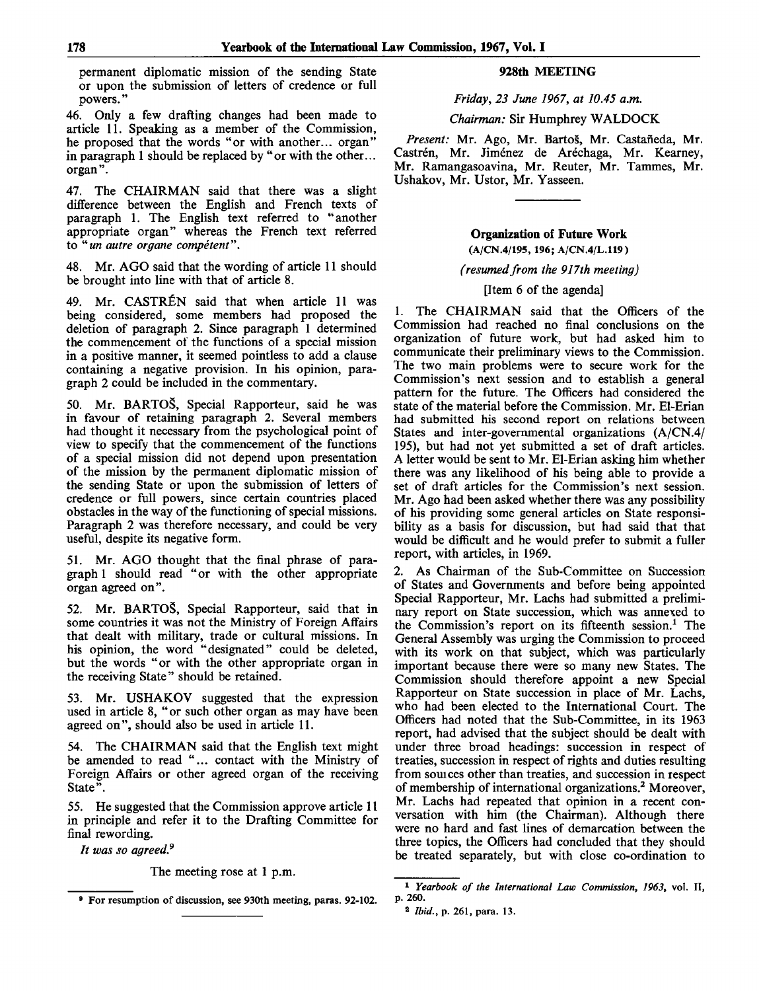permanent diplomatic mission of the sending State or upon the submission of letters of credence or full powers.'

46. Only a few drafting changes had been made to article 11. Speaking as a member of the Commission, he proposed that the words "or with another... organ" in paragraph 1 should be replaced by "or with the other... organ".

47. The CHAIRMAN said that there was a slight difference between the English and French texts of paragraph 1. The English text referred to "another appropriate organ" whereas the French text referred to *"un outre or gone competent".*

48. Mr. AGO said that the wording of article 11 should be brought into line with that of article 8.

49. Mr. CASTREN said that when article 11 was being considered, some members had proposed the deletion of paragraph 2. Since paragraph 1 determined the commencement of the functions of a special mission in a positive manner, it seemed pointless to add a clause containing a negative provision. In his opinion, paragraph 2 could be included in the commentary.

50. Mr. BARTOS, Special Rapporteur, said he was in favour of retaining paragraph 2. Several members had thought it necessary from the psychological point of view to specify that the commencement of the functions of a special mission did not depend upon presentation of the mission by the permanent diplomatic mission of the sending State or upon the submission of letters of credence or full powers, since certain countries placed obstacles in the way of the functioning of special missions. Paragraph 2 was therefore necessary, and could be very useful, despite its negative form.

51. Mr. AGO thought that the final phrase of paragraph 1 should read "or with the other appropriate organ agreed on".

52. Mr. BARTOŠ, Special Rapporteur, said that in some countries it was not the Ministry of Foreign Affairs that dealt with military, trade or cultural missions. In his opinion, the word "designated" could be deleted, but the words "or with the other appropriate organ in the receiving State" should be retained.

53. Mr. USHAKOV suggested that the expression used in article 8, "or such other organ as may have been agreed on", should also be used in article 11.

54. The CHAIRMAN said that the English text might be amended to read "... contact with the Ministry of Foreign Affairs or other agreed organ of the receiving State".

55. He suggested that the Commission approve article 11 in principle and refer it to the Drafting Committee for final rewording.

*It was so agreed.<sup>9</sup>*

The meeting rose at **1** p.m.

#### **928th MEETING**

*Friday, 23 June 1967, at 10.45 a.m.*

*Chairman:* Sir Humphrey WALDOCK

Present: Mr. Ago, Mr. Bartoš, Mr. Castañeda, Mr. Castrén, Mr. Jiménez de Aréchaga, Mr. Kearney, Mr. Ramangasoavina, Mr. Reuter, Mr. Tammes, Mr. Ushakov, Mr. Ustor, Mr. Yasseen.

## **Organization** of **Future Work**

**(A/CN.4/195, 196; A/CN.4/L.119)**

#### *(resumed from the 917th meeting)*

#### [Item 6 of the agenda]

1. The CHAIRMAN said that the Officers of the Commission had reached no final conclusions on the organization of future work, but had asked him to communicate their preliminary views to the Commission. The two main problems were to secure work for the Commission's next session and to establish a general pattern for the future. The Officers had considered the state of the material before the Commission. Mr. El-Erian had submitted his second report on relations between States and inter-governmental organizations (A/CN.4/ 195), but had not yet submitted a set of draft articles. A letter would be sent to Mr. El-Erian asking him whether there was any likelihood of his being able to provide a set of draft articles for the Commission's next session. Mr. Ago had been asked whether there was any possibility of his providing some general articles on State responsibility as a basis for discussion, but had said that that would be difficult and he would prefer to submit a fuller report, with articles, in 1969.

2. As Chairman of the Sub-Committee on Succession of States and Governments and before being appointed Special Rapporteur, Mr. Lachs had submitted a preliminary report on State succession, which was annexed to the Commission's report on its fifteenth session.<sup>1</sup> The General Assembly was urging the Commission to proceed with its work on that subject, which was particularly important because there were so many new States. The Commission should therefore appoint a new Special Rapporteur on State succession in place of Mr. Lachs, who had been elected to the International Court. The Officers had noted that the Sub-Committee, in its 1963 report, had advised that the subject should be dealt with under three broad headings: succession in respect of treaties, succession in respect of rights and duties resulting from souices other than treaties, and succession in respect of membership of international organizations.<sup>2</sup> Moreover, Mr. Lachs had repeated that opinion in a recent conversation with him (the Chairman). Although there were no hard and fast lines of demarcation between the three topics, the Officers had concluded that they should be treated separately, but with close co-ordination to

<sup>9</sup> For resumption of discussion, see 930th meeting, paras. 92-102.

<sup>1</sup>  *Yearbook of the International Law Commission, 1963,* vol. II, p. 260.

<sup>2</sup>  *Ibid., p.* 261, para. 13.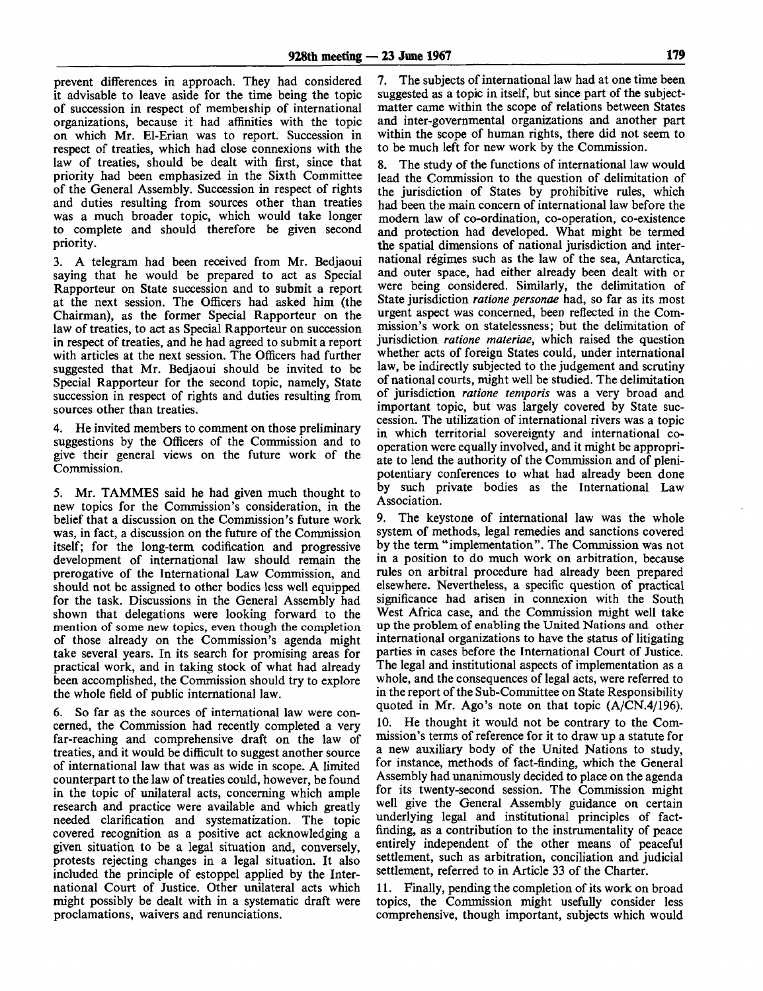prevent differences in approach. They had considered it advisable to leave aside for the time being the topic of succession in respect of membeiship of international organizations, because it had affinities with the topic on which Mr. El-Erian was to report. Succession in respect of treaties, which had close connexions with the law of treaties, should be dealt with first, since that priority had been emphasized in the Sixth Committee of the General Assembly. Succession in respect of rights and duties resulting from sources other than treaties was a much broader topic, which would take longer to complete and should therefore be given second priority.

3. A telegram had been received from Mr. Bedjaoui saying that he would be prepared to act as Special Rapporteur on State succession and to submit a report at the next session. The Officers had asked him (the Chairman), as the former Special Rapporteur on the law of treaties, to act as Special Rapporteur on succession in respect of treaties, and he had agreed to submit a report with articles at the next session. The Officers had further suggested that Mr. Bedjaoui should be invited to be Special Rapporteur for the second topic, namely, State succession in respect of rights and duties resulting from sources other than treaties.

4. He invited members to comment on those preliminary suggestions by the Officers of the Commission and to give their general views on the future work of the Commission.

5. Mr. TAMMES said he had given much thought to new topics for the Commission's consideration, in the belief that a discussion on the Commission's future work was, in fact, a discussion on the future of the Commission itself; for the long-term codification and progressive development of international law should remain the prerogative of the International Law Commission, and should not be assigned to other bodies less well equipped for the task. Discussions in the General Assembly had shown that delegations were looking forward to the mention of some new topics, even though the completion of those already on the Commission's agenda might take several years. In its search for promising areas for practical work, and in taking stock of what had already been accomplished, the Commission should try to explore the whole field of public international law.

6. So far as the sources of international law were concerned, the Commission had recently completed a very far-reaching and comprehensive draft on the law of treaties, and it would be difficult to suggest another source of international law that was as wide in scope. A limited counterpart to the law of treaties could, however, be found in the topic of unilateral acts, concerning which ample research and practice were available and which greatly needed clarification and systematization. The topic covered recognition as a positive act acknowledging a given situation to be a legal situation and, conversely, protests rejecting changes in a legal situation. It also included the principle of estoppel applied by the International Court of Justice. Other unilateral acts which might possibly be dealt with in a systematic draft were proclamations, waivers and renunciations.

7. The subjects of international law had at one time been suggested as a topic in itself, but since part of the subjectmatter came within the scope of relations between States and inter-governmental organizations and another part within the scope of human rights, there did not seem to to be much left for new work by the Commission.

8. The study of the functions of international law would lead the Commission to the question of delimitation of the jurisdiction of States by prohibitive rules, which had been the main concern of international law before the modern law of co-ordination, co-operation, co-existence and protection had developed. What might be termed the spatial dimensions of national jurisdiction and international regimes such as the law of the sea, Antarctica, and outer space, had either already been dealt with or were being considered. Similarly, the delimitation of State jurisdiction *ratione personae* had, so far as its most urgent aspect was concerned, been reflected in the Commission's work on statelessness; but the delimitation of jurisdiction *ratione materiae,* which raised the question whether acts of foreign States could, under international law, be indirectly subjected to the judgement and scrutiny of national courts, might well be studied. The delimitation of jurisdiction *ratione temporis* was a very broad and important topic, but was largely covered by State succession. The utilization of international rivers was a topic in which territorial sovereignty and international cooperation were equally involved, and it might be appropriate to lend the authority of the Commission and of plenipotentiary conferences to what had already been done by such private bodies as the International Law Association.

9. The keystone of international law was the whole system of methods, legal remedies and sanctions covered by the term "implementation". The Commission was not in a position to do much work on arbitration, because rules on arbitral procedure had already been prepared elsewhere. Nevertheless, a specific question of practical significance had arisen in connexion with the South West Africa case, and the Commission might well take up the problem of enabling the United Nations and other international organizations to have the status of litigating parties in cases before the International Court of Justice. The legal and institutional aspects of implementation as a whole, and the consequences of legal acts, were referred to in the report of the Sub-Committee on State Responsibility quoted in Mr. Ago's note on that topic (A/CN.4/196).

10. He thought it would not be contrary to the Commission's terms of reference for it to draw up a statute for a new auxiliary body of the United Nations to study, for instance, methods of fact-finding, which the General Assembly had unanimously decided to place on the agenda for its twenty-second session. The Commission might well give the General Assembly guidance on certain underlying legal and institutional principles of factfinding, as a contribution to the instrumentality of peace entirely independent of the other means of peaceful settlement, such as arbitration, conciliation and judicial settlement, referred to in Article 33 of the Charter.

11. Finally, pending the completion of its work on broad topics, the Commission might usefully consider less comprehensive, though important, subjects which would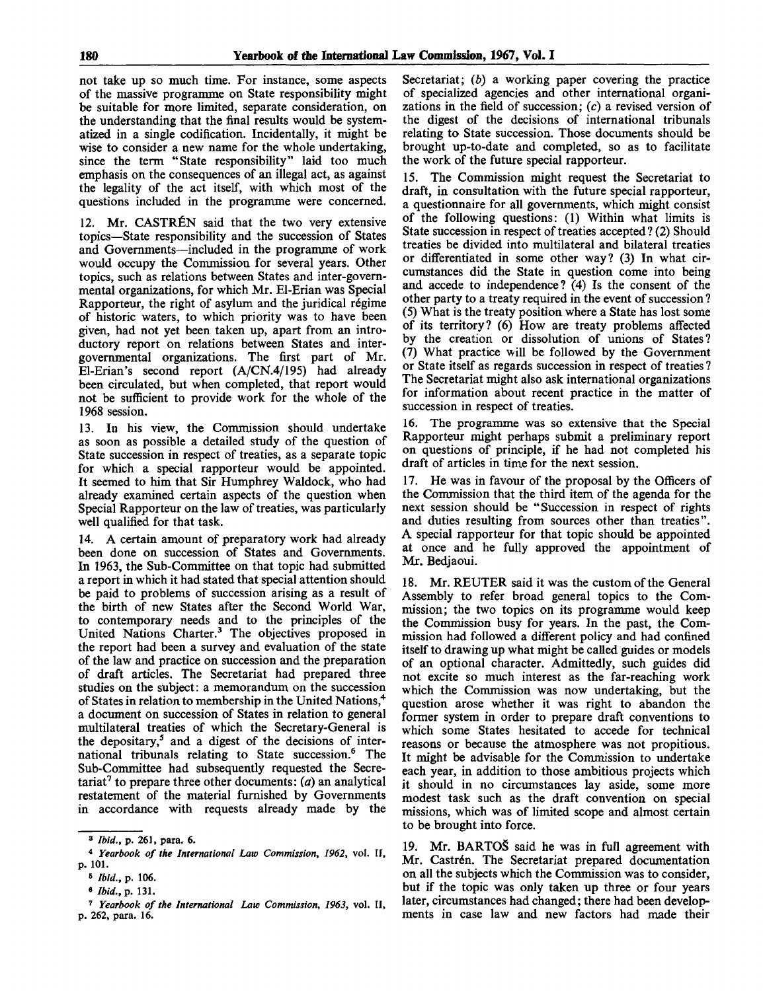not take up so much time. For instance, some aspects of the massive programme on State responsibility might be suitable for more limited, separate consideration, on the understanding that the final results would be systematized in a single codification. Incidentally, it might be wise to consider a new name for the whole undertaking, since the term "State responsibility" laid too much emphasis on the consequences of an illegal act, as against the legality of the act itself, with which most of the questions included in the programme were concerned.

12. Mr. CASTREN said that the two very extensive topics—State responsibility and the succession of States and Governments—included in the programme of work would occupy the Commission for several years. Other topics, such as relations between States and inter-governmental organizations, for which Mr. El-Erian was Special Rapporteur, the right of asylum and the juridical regime of historic waters, to which priority was to have been given, had not yet been taken up, apart from an introductory report on relations between States and intergovernmental organizations. The first part of Mr. El-Erian's second report (A/CN.4/195) had already been circulated, but when completed, that report would not be sufficient to provide work for the whole of the 1968 session.

13. In his view, the Commission should undertake as soon as possible a detailed study of the question of State succession in respect of treaties, as a separate topic for which a special rapporteur would be appointed. It seemed to him that Sir Humphrey Waldock, who had already examined certain aspects of the question when Special Rapporteur on the law of treaties, was particularly well qualified for that task.

14. A certain amount of preparatory work had already been done on succession of States and Governments. In 1963, the Sub-Committee on that topic had submitted a report in which it had stated that special attention should be paid to problems of succession arising as a result of the birth of new States after the Second World War, to contemporary needs and to the principles of the United Nations Charter.<sup>3</sup> The objectives proposed in the report had been a survey and evaluation of the state of the law and practice on succession and the preparation of draft articles. The Secretariat had prepared three studies on the subject: a memorandum on the succession of States in relation to membership in the United Nations,<sup>4</sup> a document on succession of States in relation to general multilateral treaties of which the Secretary-General is the depositary,<sup>5</sup> and a digest of the decisions of international tribunals relating to State succession.<sup>6</sup> The Sub-Committee had subsequently requested the Secretariat<sup>7</sup> to prepare three other documents: *(a)* an analytical restatement of the material furnished by Governments in accordance with requests already made by the

Secretariat; *(b)* a working paper covering the practice of specialized agencies and other international organizations in the field of succession; *(c)* a revised version of the digest of the decisions of international tribunals relating to State succession. Those documents should be brought up-to-date and completed, so as to facilitate the work of the future special rapporteur.

15. The Commission might request the Secretariat to draft, in consultation with the future special rapporteur, a questionnaire for all governments, which might consist of the following questions: (1) Within what limits is State succession in respect of treaties accepted? (2) Should treaties be divided into multilateral and bilateral treaties or differentiated in some other way? (3) In what circumstances did the State in question come into being and accede to independence? (4) Is the consent of the other party to a treaty required in the event of succession ? (5) What is the treaty position where a State has lost some of its territory? (6) How are treaty problems affected by the creation or dissolution of unions of States? (7) What practice will be followed by the Government or State itself as regards succession in respect of treaties ? The Secretariat might also ask international organizations for information about recent practice in the matter of succession in respect of treaties.

16. The programme was so extensive that the Special Rapporteur might perhaps submit a preliminary report on questions of principle, if he had not completed his draft of articles in time for the next session.

17. He was in favour of the proposal by the Officers of the Commission that the third item of the agenda for the next session should be "Succession in respect of rights and duties resulting from sources other than treaties". A special rapporteur for that topic should be appointed at once and he fully approved the appointment of Mr. Bedjaoui.

18. Mr. REUTER said it was the custom of the General Assembly to refer broad general topics to the Commission; the two topics on its programme would keep the Commission busy for years. In the past, the Commission had followed a different policy and had confined itself to drawing up what might be called guides or models of an optional character. Admittedly, such guides did not excite so much interest as the far-reaching work which the Commission was now undertaking, but the question arose whether it was right to abandon the former system in order to prepare draft conventions to which some States hesitated to accede for technical reasons or because the atmosphere was not propitious. It might be advisable for the Commission to undertake each year, in addition to those ambitious projects which it should in no circumstances lay aside, some more modest task such as the draft convention on special missions, which was of limited scope and almost certain to be brought into force.

19. Mr. BARTOS said he was in full agreement with Mr. Castrén. The Secretariat prepared documentation on all the subjects which the Commission was to consider, but if the topic was only taken up three or four years later, circumstances had changed; there had been developments in case law and new factors had made their

<sup>3</sup>  *Ibid.,* p. 261, para. 6.

<sup>4</sup>  *Yearbook of the International Law Commission, 1962,* vol. II, p. 101.

<sup>«</sup> *Ibid.,* p. 106.

<sup>•</sup> *Ibid.,* p. 131.

<sup>7</sup>  *Yearbook of the International Law Commission, 1963,* vol. II, p. 262, para. 16.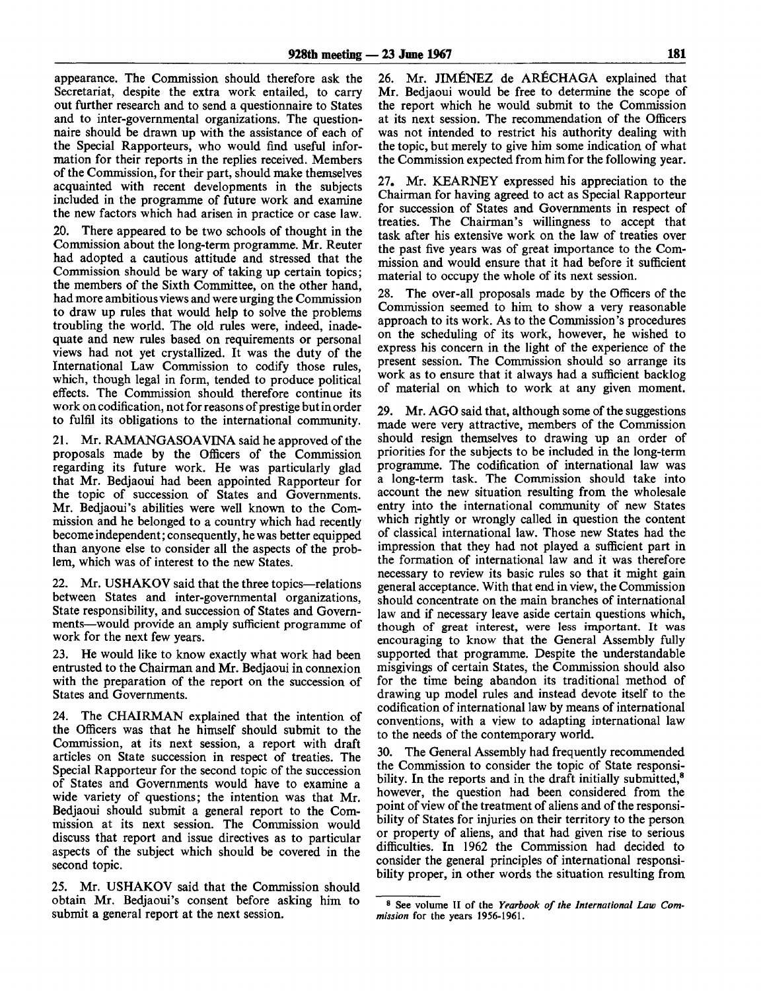appearance. The Commission should therefore ask the Secretariat, despite the extra work entailed, to carry out further research and to send a questionnaire to States and to inter-governmental organizations. The questionnaire should be drawn up with the assistance of each of the Special Rapporteurs, who would find useful information for their reports in the replies received. Members of the Commission, for their part, should make themselves acquainted with recent developments in the subjects included in the programme of future work and examine the new factors which had arisen in practice or case law.

20. There appeared to be two schools of thought in the Commission about the long-term programme. Mr. Reuter had adopted a cautious attitude and stressed that the Commission should be wary of taking up certain topics; the members of the Sixth Committee, on the other hand, had more ambitious views and were urging the Commission to draw up rules that would help to solve the problems troubling the world. The old rules were, indeed, inadequate and new rules based on requirements or personal views had not yet crystallized. It was the duty of the International Law Commission to codify those rules, which, though legal in form, tended to produce political effects. The Commission should therefore continue its work on codification, not for reasons of prestige but in order to fulfil its obligations to the international community.

21. Mr. RAMANGASOAVINA said he approved of the proposals made by the Officers of the Commission regarding its future work. He was particularly glad that Mr. Bedjaoui had been appointed Rapporteur for the topic of succession of States and Governments. Mr. Bedjaoui's abilities were well known to the Commission and he belonged to a country which had recently become independent; consequently, he was better equipped than anyone else to consider all the aspects of the problem, which was of interest to the new States.

22. Mr. USHAKOV said that the three topics—relations between States and inter-governmental organizations, State responsibility, and succession of States and Governments—would provide an amply sufficient programme of work for the next few years.

23. He would like to know exactly what work had been entrusted to the Chairman and Mr. Bedjaoui in connexion with the preparation of the report on the succession of States and Governments.

24. The CHAIRMAN explained that the intention of the Officers was that he himself should submit to the Commission, at its next session, a report with draft articles on State succession in respect of treaties. The Special Rapporteur for the second topic of the succession of States and Governments would have to examine a wide variety of questions; the intention was that Mr. Bedjaoui should submit a general report to the Commission at its next session. The Commission would discuss that report and issue directives as to particular aspects of the subject which should be covered in the second topic.

25. Mr. USHAKOV said that the Commission should obtain Mr. Bedjaoui's consent before asking him to submit a general report at the next session.

26. Mr. JIMENEZ de ARfiCHAGA explained that Mr. Bedjaoui would be free to determine the scope of the report which he would submit to the Commission at its next session. The recommendation of the Officers was not intended to restrict his authority dealing with the topic, but merely to give him some indication of what the Commission expected from him for the following year.

27. Mr. KEARNEY expressed his appreciation to the Chairman for having agreed to act as Special Rapporteur for succession of States and Governments in respect of treaties. The Chairman's willingness to accept that task after his extensive work on the law of treaties over the past five years was of great importance to the Commission and would ensure that it had before it sufficient material to occupy the whole of its next session.

28. The over-all proposals made by the Officers of the Commission seemed to him to show a very reasonable approach to its work. As to the Commission's procedures on the scheduling of its work, however, he wished to express his concern in the light of the experience of the present session. The Commission should so arrange its work as to ensure that it always had a sufficient backlog of material on which to work at any given moment.

29. Mr. AGO said that, although some of the suggestions made were very attractive, members of the Commission should resign themselves to drawing up an order of priorities for the subjects to be included in the long-term programme. The codification of international law was a long-term task. The Commission should take into account the new situation resulting from the wholesale entry into the international community of new States which rightly or wrongly called in question the content of classical international law. Those new States had the impression that they had not played a sufficient part in the formation of international law and it was therefore necessary to review its basic rules so that it might gain general acceptance. With that end in view, the Commission should concentrate on the main branches of international law and if necessary leave aside certain questions which, though of great interest, were less important. It was encouraging to know that the General Assembly fully supported that programme. Despite the understandable misgivings of certain States, the Commission should also for the time being abandon its traditional method of drawing up model rules and instead devote itself to the codification of international law by means of international conventions, with a view to adapting international law to the needs of the contemporary world.

30. The General Assembly had frequently recommended the Commission to consider the topic of State responsibility. In the reports and in the draft initially submitted,<sup>8</sup> however, the question had been considered from the point of view of the treatment of aliens and of the responsibility of States for injuries on their territory to the person or property of aliens, and that had given rise to serious difficulties. In 1962 the Commission had decided to consider the general principles of international responsibility proper, in other words the situation resulting from

<sup>8</sup> See volume II of the *Yearbook of the International Law Commission* for the years 1956-1961.